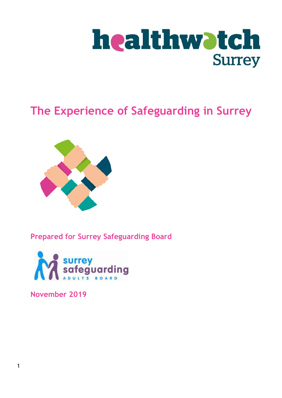

# **The Experience of Safeguarding in Surrey**



## **Prepared for Surrey Safeguarding Board**



**November 2019**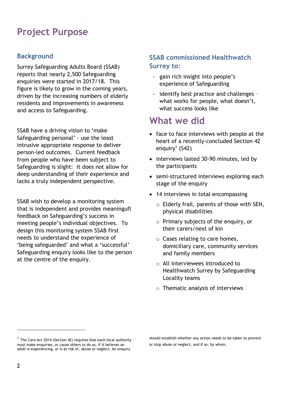## **Project Purpose**

## **Background**

Surrey Safeguarding Adults Board (SSAB) reports that nearly 2,500 Safeguarding enquiries were started in 2017/18. This figure is likely to grow in the coming years, driven by the increasing numbers of elderly residents and improvements in awareness and access to Safeguarding.

SSAB have a driving vision to 'make Safeguarding personal' - use the least intrusive appropriate response to deliver person-led outcomes. Current feedback from people who have been subject to Safeguarding is slight: it does not allow for deep understanding of their experience and lacks a truly independent perspective.

SSAB wish to develop a monitoring system that is independent and provides meaningufl feedback on Safeguarding's success in meeting people's individual objectives. To design this monitoring system SSAB first needs to understand the experience of 'being safeguarded' and what a 'successful' Safeguarding enquiry looks like to the person at the centre of the enquiry.

### **SSAB commissioned Healthwatch Surrey to:**

- gain rich insight into people's experience of Safeguarding
- identify best practice and challenges what works for people, what doesn't, what success looks like

## **What we did**

- face to face interviews with people at the heart of a recently-concluded Section 42 enquiry<sup>1</sup> (S42)
- interviews lasted 30-90 minutes, led by the participants
- semi-structured interviews exploring each stage of the enquiry
- 14 interviews in total encompassing
	- o Elderly frail, parents of those with SEN, physical disabilities
	- o Primary subjects of the enquiry, or their carers/next of kin
	- o Cases relating to care homes, domiciliary care, community services and family members
	- o All interviewees introduced to Healthwatch Surrey by Safeguarding Locality teams
	- $\circ$  Thematic analysis of interviews

should establish whether any action needs to be taken to prevent or stop abuse or neglect, and if so, by whom.

 $<sup>1</sup>$  The Care Act 2014 (Section 42) requires that each local authority</sup> must make enquiries, or cause others to do so, if it believes an adult is experiencing, or is at risk of, abuse or neglect. An enquiry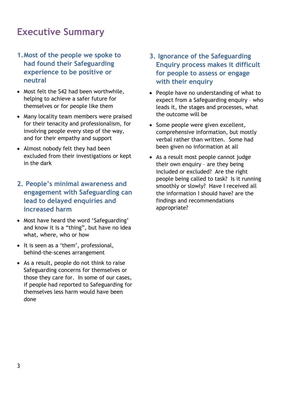## **Executive Summary**

- **1.Most of the people we spoke to had found their Safeguarding experience to be positive or neutral**
- Most felt the S42 had been worthwhile, helping to achieve a safer future for themselves or for people like them
- Many locality team members were praised for their tenacity and professionalism, for involving people every step of the way, and for their empathy and support
- Almost nobody felt they had been excluded from their investigations or kept in the dark
- **2. People's minimal awareness and engagement with Safeguarding can lead to delayed enquiries and increased harm**
- Most have heard the word 'Safeguarding' and know it is a "thing", but have no idea what, where, who or how
- It is seen as a 'them', professional, behind-the-scenes arrangement
- As a result, people do not think to raise Safeguarding concerns for themselves or those they care for. In some of our cases, if people had reported to Safeguarding for themselves less harm would have been done
- **3. Ignorance of the Safeguarding Enquiry process makes it difficult for people to assess or engage with their enquiry**
- People have no understanding of what to expect from a Safeguarding enquiry – who leads it, the stages and processes, what the outcome will be
- Some people were given excellent, comprehensive information, but mostly verbal rather than written. Some had been given no information at all
- As a result most people cannot judge their own enquiry – are they being included or excluded? Are the right people being called to task? Is it running smoothly or slowly? Have I received all the information I should have? are the findings and recommendations appropriate?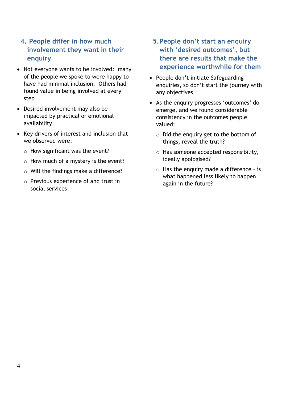### **4. People differ in how much involvement they want in their enquiry**

- Not everyone wants to be involved: many of the people we spoke to were happy to have had minimal inclusion. Others had found value in being involved at every step
- Desired involvement may also be impacted by practical or emotional availability
- Key drivers of interest and inclusion that we observed were:
	- $\circ$  How significant was the event?
	- $\circ$  How much of a mystery is the event?
	- o Will the findings make a difference?
	- o Previous experience of and trust in social services
- **5.People don't start an enquiry with 'desired outcomes', but there are results that make the experience worthwhile for them**
- People don't initiate Safeguarding enquiries, so don't start the journey with any objectives
- As the enquiry progresses 'outcomes' do emerge, and we found considerable consistency in the outcomes people valued:
	- o Did the enquiry get to the bottom of things, reveal the truth?
	- o Has someone accepted responsibility, ideally apologised?
	- o Has the enquiry made a difference is what happened less likely to happen again in the future?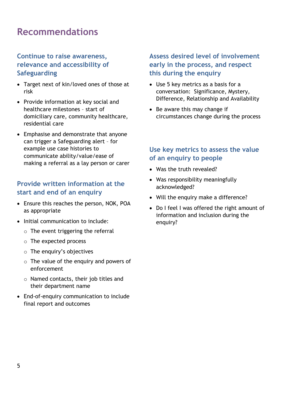## **Recommendations**

### **Continue to raise awareness, relevance and accessibility of Safeguarding**

- Target next of kin/loved ones of those at risk
- Provide information at key social and healthcare milestones – start of domiciliary care, community healthcare, residential care
- Emphasise and demonstrate that anyone can trigger a Safeguarding alert – for example use case histories to communicate ability/value/ease of making a referral as a lay person or carer

### **Provide written information at the start and end of an enquiry**

- Ensure this reaches the person, NOK, POA as appropriate
- Initial communication to include:
	- $\circ$  The event triggering the referral
	- o The expected process
	- o The enquiry's objectives
	- $\circ$  The value of the enguiry and powers of enforcement
	- o Named contacts, their job titles and their department name
- End-of-enquiry communication to include final report and outcomes

### **Assess desired level of involvement early in the process, and respect this during the enquiry**

- Use 5 key metrics as a basis for a conversation: Significance, Mystery, Difference, Relationship and Availability
- Be aware this may change if circumstances change during the process

### **Use key metrics to assess the value of an enquiry to people**

- Was the truth revealed?
- Was responsibility meaningfully acknowledged?
- Will the enquiry make a difference?
- Do I feel I was offered the right amount of information and inclusion during the enquiry?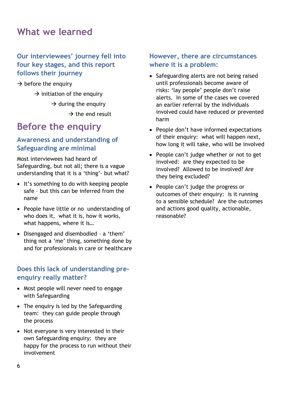## **What we learned**

### **Our interviewees' journey fell into four key stages, and this report follows their journey**

 $\rightarrow$  before the enquiry

 $\rightarrow$  initiation of the enquiry

 $\rightarrow$  during the enquiry

 $\rightarrow$  the end result

# **Before the enquiry**

### **Awareness and understanding of Safeguarding are minimal**

Most interviewees had heard of Safeguarding, but not all; there is a vague understanding that it is a 'thing'- but what?

- It's something to do with keeping people safe – but this can be inferred from the name
- People have little or no understanding of who does it, what it is, how it works, what happens, where it is…
- Disengaged and disembodied a 'them' thing not a 'me' thing, something done by and for professionals in care or healthcare

### **Does this lack of understanding preenquiry really matter?**

- Most people will never need to engage with Safeguarding
- The enquiry is led by the Safeguarding team: they can guide people through the process
- Not everyone is very interested in their own Safeguarding enquiry: they are happy for the process to run without their involvement

### **However, there are circumstances where it is a problem:**

- Safeguarding alerts are not being raised until professionals become aware of risks: 'lay people' people don't raise alerts. In some of the cases we covered an earlier referral by the individuals involved could have reduced or prevented harm
- People don't have informed expectations of their enquiry: what will happen next, how long it will take, who will be involved
- People can't judge whether or not to get involved: are they expected to be involved? Allowed to be involved? Are they being excluded?
- People can't judge the progress or outcomes of their enquiry: is it running to a sensible schedule? Are the outcomes and actions good quality, actionable, reasonable?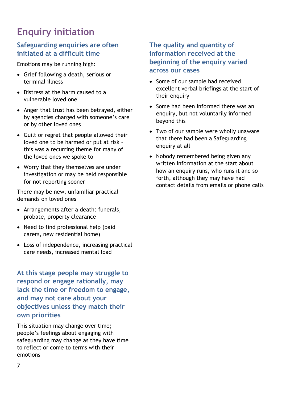# **Enquiry initiation**

### **Safeguarding enquiries are often initiated at a difficult time**

Emotions may be running high:

- Grief following a death, serious or terminal illness
- Distress at the harm caused to a vulnerable loved one
- Anger that trust has been betrayed, either by agencies charged with someone's care or by other loved ones
- Guilt or regret that people allowed their loved one to be harmed or put at risk – this was a recurring theme for many of the loved ones we spoke to
- Worry that they themselves are under investigation or may be held responsible for not reporting sooner

There may be new, unfamiliar practical demands on loved ones

- Arrangements after a death: funerals, probate, property clearance
- Need to find professional help (paid carers, new residential home)
- Loss of independence, increasing practical care needs, increased mental load

**At this stage people may struggle to respond or engage rationally, may lack the time or freedom to engage, and may not care about your objectives unless they match their own priorities**

This situation may change over time; people's feelings about engaging with safeguarding may change as they have time to reflect or come to terms with their emotions

### **The quality and quantity of information received at the beginning of the enquiry varied across our cases**

- Some of our sample had received excellent verbal briefings at the start of their enquiry
- Some had been informed there was an enquiry, but not voluntarily informed beyond this
- Two of our sample were wholly unaware that there had been a Safeguarding enquiry at all
- Nobody remembered being given any written information at the start about how an enquiry runs, who runs it and so forth, although they may have had contact details from emails or phone calls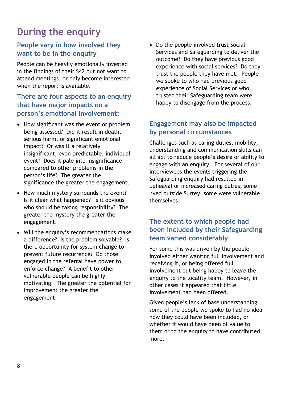# **During the enquiry**

### **People vary in how involved they want to be in the enquiry**

People can be heavily emotionally invested in the findings of their S42 but not want to attend meetings, or only become interested when the report is available.

### **There are four aspects to an enquiry that have major impacts on a person's emotional involvement:**

- How significant was the event or problem being assessed? Did it result in death, serious harm, or significant emotional impact? Or was it a relatively insignificant, even predictable, individual event? Does it pale into insignificance compared to other problems in the person's life? The greater the significance the greater the engagement.
- How much mystery surrounds the event? Is it clear what happened? Is it obvious who should be taking responsibility? The greater the mystery the greater the engagement.
- Will the enquiry's recommendations make a difference? Is the problem solvable? Is there opportunity for system change to prevent future recurrence? Do those engaged in the referral have power to enforce change? A benefit to other vulnerable people can be highly motivating. The greater the potential for improvement the greater the engagement.

• Do the people involved trust Social Services and Safeguarding to deliver the outcome? Do they have previous good experience with social services? Do they trust the people they have met. People we spoke to who had previous good experience of Social Services or who trusted their Safeguarding team were happy to disengage from the process.

### **Engagement may also be impacted by personal circumstances**

Challenges such as caring duties, mobility, understanding and communication skills can all act to reduce people's desire or ability to engage with an enquiry. For several of our interviewees the events triggering the Safeguarding enquiry had resulted in upheaval or increased caring duties; some lived outside Surrey, some were vulnerable themselves.

### **The extent to which people had been included by their Safeguarding team varied considerably**

For some this was driven by the people involved either wanting full involvement and receiving it, or being offered full involvement but being happy to leave the enquiry to the locality team. However, in other cases it appeared that little involvement had been offered.

Given people's lack of base understanding some of the people we spoke to had no idea how they could have been included, or whether it would have been of value to them or to the enquiry to have contributed more.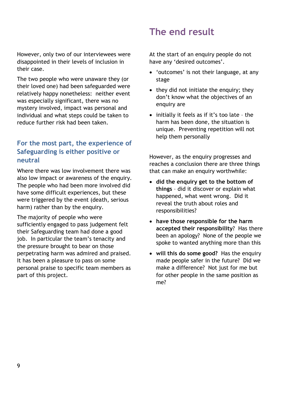However, only two of our interviewees were disappointed in their levels of inclusion in their case.

The two people who were unaware they (or their loved one) had been safeguarded were relatively happy nonetheless: neither event was especially significant, there was no mystery involved, impact was personal and individual and what steps could be taken to reduce further risk had been taken.

### **For the most part, the experience of Safeguarding is either positive or neutral**

Where there was low involvement there was also low impact or awareness of the enquiry. The people who had been more involved did have some difficult experiences, but these were triggered by the event (death, serious harm) rather than by the enquiry.

The majority of people who were sufficiently engaged to pass judgement felt their Safeguarding team had done a good job. In particular the team's tenacity and the pressure brought to bear on those perpetrating harm was admired and praised. It has been a pleasure to pass on some personal praise to specific team members as part of this project.

## **The end result**

At the start of an enquiry people do not have any 'desired outcomes'.

- 'outcomes' is not their language, at any stage
- they did not initiate the enquiry; they don't know what the objectives of an enquiry are
- initially it feels as if it's too late the harm has been done, the situation is unique. Preventing repetition will not help them personally

However, as the enquiry progresses and reaches a conclusion there are three things that can make an enquiry worthwhile:

- **did the enquiry get to the bottom of things** – did it discover or explain what happened, what went wrong. Did it reveal the truth about roles and responsibilities?
- **have those responsible for the harm accepted their responsibility**? Has there been an apology? None of the people we spoke to wanted anything more than this
- **will this do some good?** Has the enquiry made people safer in the future? Did we make a difference? Not just for me but for other people in the same position as me?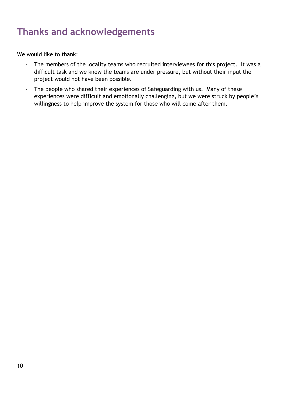# **Thanks and acknowledgements**

We would like to thank:

- The members of the locality teams who recruited interviewees for this project. It was a difficult task and we know the teams are under pressure, but without their input the project would not have been possible.
- The people who shared their experiences of Safeguarding with us. Many of these experiences were difficult and emotionally challenging, but we were struck by people's willingness to help improve the system for those who will come after them.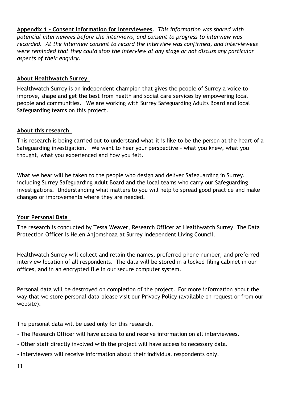**Appendix 1 – Consent Information for Interviewees**. *This information was shared with potential interviewees before the interviews, and consent to progress to interview was recorded. At the interview consent to record the interview was confirmed, and interviewees were reminded that they could stop the interview at any stage or not discuss any particular aspects of their enquiry.*

### **About Healthwatch Surrey**

Healthwatch Surrey is an independent champion that gives the people of Surrey a voice to improve, shape and get the best from health and social care services by empowering local people and communities. We are working with Surrey Safeguarding Adults Board and local Safeguarding teams on this project.

### **About this research**

This research is being carried out to understand what it is like to be the person at the heart of a Safeguarding investigation. We want to hear your perspective – what you knew, what you thought, what you experienced and how you felt.

What we hear will be taken to the people who design and deliver Safeguarding in Surrey, including Surrey Safeguarding Adult Board and the local teams who carry our Safeguarding investigations. Understanding what matters to you will help to spread good practice and make changes or improvements where they are needed.

#### **Your Personal Data**

The research is conducted by Tessa Weaver, Research Officer at Healthwatch Surrey. The Data Protection Officer is Helen Anjomshoaa at Surrey Independent Living Council.  

Healthwatch Surrey will collect and retain the names, preferred phone number, and preferred interview location of all respondents. The data will be stored in a locked filing cabinet in our offices, and in an encrypted file in our secure computer system.  

Personal data will be destroyed on completion of the project. For more information about the way that we store personal data please visit our Privacy Policy (available on request or from our website).

The personal data will be used only for this research.  

- The Research Officer will have access to and receive information on all interviewees.
- Other staff directly involved with the project will have access to necessary data.
- Interviewers will receive information about their individual respondents only.